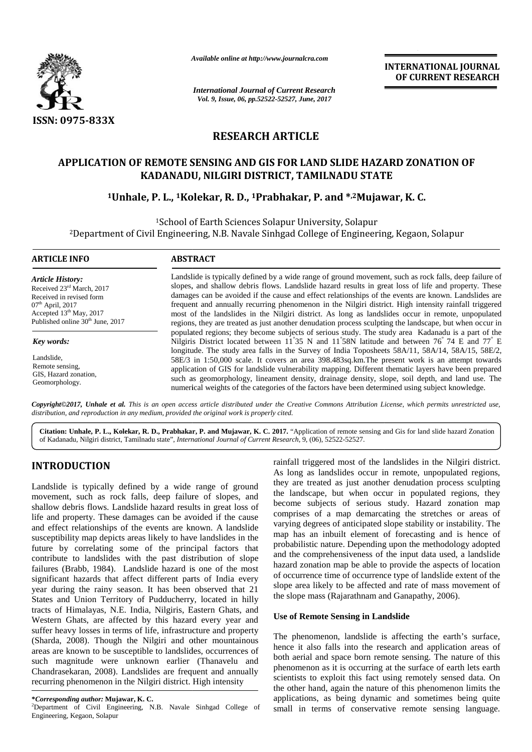

*Available online at http://www.journalcra.com*

**INTERNATIONAL JOURNAL OF CURRENT RESEARCH**

# **RESEARCH ARTICLE**

# APPLICATION OF REMOTE SENSING AND GIS FOR LAND SLIDE HAZARD ZONATION OF<br>KADANADU, NILGIRI DISTRICT, TAMILNADU STATE<br><sup>1</sup>Unhale, P. L., <sup>1</sup>Kolekar, R. D., <sup>1</sup>Prabhakar, P. and \*,<sup>2</sup>Mujawar, K. C. **KADANADU, NILGIRI DISTRICT, TAMILNADU STATE**

# **<sup>1</sup>Unhale, P. L., <sup>1</sup>Kolekar, R. D., <sup>1</sup>Prabhakar, P. and \* ,2Mujawar, K. C.**

|                                                                                                                                                                                                         |                                                                                                                                                                                                                  | <b>INTERNATIONAL JOURNAL</b><br>OF CURRENT RESEARCH                                                                                                                                                                                                                                                                                                                                                                                                                                                                                                                                                                                                                                                                                                    |
|---------------------------------------------------------------------------------------------------------------------------------------------------------------------------------------------------------|------------------------------------------------------------------------------------------------------------------------------------------------------------------------------------------------------------------|--------------------------------------------------------------------------------------------------------------------------------------------------------------------------------------------------------------------------------------------------------------------------------------------------------------------------------------------------------------------------------------------------------------------------------------------------------------------------------------------------------------------------------------------------------------------------------------------------------------------------------------------------------------------------------------------------------------------------------------------------------|
|                                                                                                                                                                                                         | <b>International Journal of Current Research</b><br>Vol. 9, Issue, 06, pp.52522-52527, June, 2017                                                                                                                |                                                                                                                                                                                                                                                                                                                                                                                                                                                                                                                                                                                                                                                                                                                                                        |
| <b>ISSN: 0975-833X</b>                                                                                                                                                                                  |                                                                                                                                                                                                                  |                                                                                                                                                                                                                                                                                                                                                                                                                                                                                                                                                                                                                                                                                                                                                        |
|                                                                                                                                                                                                         |                                                                                                                                                                                                                  | <b>RESEARCH ARTICLE</b>                                                                                                                                                                                                                                                                                                                                                                                                                                                                                                                                                                                                                                                                                                                                |
|                                                                                                                                                                                                         |                                                                                                                                                                                                                  |                                                                                                                                                                                                                                                                                                                                                                                                                                                                                                                                                                                                                                                                                                                                                        |
|                                                                                                                                                                                                         |                                                                                                                                                                                                                  | APPLICATION OF REMOTE SENSING AND GIS FOR LAND SLIDE HAZARD ZONATION OF<br>KADANADU, NILGIRI DISTRICT, TAMILNADU STATE                                                                                                                                                                                                                                                                                                                                                                                                                                                                                                                                                                                                                                 |
|                                                                                                                                                                                                         |                                                                                                                                                                                                                  | <sup>1</sup> Unhale, P. L., <sup>1</sup> Kolekar, R. D., <sup>1</sup> Prabhakar, P. and * <sup>2</sup> Mujawar, K. C.                                                                                                                                                                                                                                                                                                                                                                                                                                                                                                                                                                                                                                  |
|                                                                                                                                                                                                         |                                                                                                                                                                                                                  |                                                                                                                                                                                                                                                                                                                                                                                                                                                                                                                                                                                                                                                                                                                                                        |
|                                                                                                                                                                                                         |                                                                                                                                                                                                                  | <sup>1</sup> School of Earth Sciences Solapur University, Solapur<br><sup>2</sup> Department of Civil Engineering, N.B. Navale Sinhgad College of Engineering, Kegaon, Solapur                                                                                                                                                                                                                                                                                                                                                                                                                                                                                                                                                                         |
| <b>ARTICLE INFO</b>                                                                                                                                                                                     | <b>ABSTRACT</b>                                                                                                                                                                                                  |                                                                                                                                                                                                                                                                                                                                                                                                                                                                                                                                                                                                                                                                                                                                                        |
| <b>Article History:</b><br>Received 23rd March, 2017<br>Received in revised form<br>07 <sup>th</sup> April, 2017<br>Accepted 13 <sup>th</sup> May, 2017<br>Published online 30 <sup>th</sup> June, 2017 |                                                                                                                                                                                                                  | Landslide is typically defined by a wide range of ground movement, such as rock falls, deep failure of<br>slopes, and shallow debris flows. Landslide hazard results in great loss of life and property. These<br>damages can be avoided if the cause and effect relationships of the events are known. Landslides are<br>frequent and annually recurring phenomenon in the Nilgiri district. High intensity rainfall triggered<br>most of the landslides in the Nilgiri district. As long as landslides occur in remote, unpopulated<br>regions, they are treated as just another denudation process sculpting the landscape, but when occur in<br>populated regions; they become subjects of serious study. The study area Kadanadu is a part of the |
| Key words:                                                                                                                                                                                              |                                                                                                                                                                                                                  | Nilgiris District located between 11 <sup>°</sup> 35 N and 11 <sup>°</sup> 58N latitude and between 76 <sup>°</sup> 74 E and 77 <sup>°</sup> E<br>longitude. The study area falls in the Survey of India Toposheets 58A/11, 58A/14, 58A/15, 58E/2,                                                                                                                                                                                                                                                                                                                                                                                                                                                                                                     |
| Landslide,                                                                                                                                                                                              |                                                                                                                                                                                                                  | 58E/3 in 1:50,000 scale. It covers an area 398.483sq.km. The present work is an attempt towards                                                                                                                                                                                                                                                                                                                                                                                                                                                                                                                                                                                                                                                        |
| Remote sensing,<br>GIS, Hazard zonation,                                                                                                                                                                |                                                                                                                                                                                                                  | application of GIS for landslide vulnerability mapping. Different thematic layers have been prepared                                                                                                                                                                                                                                                                                                                                                                                                                                                                                                                                                                                                                                                   |
| Geomorphology.                                                                                                                                                                                          |                                                                                                                                                                                                                  | such as geomorphology, lineament density, drainage density, slope, soil depth, and land use. The<br>numerical weights of the categories of the factors have been determined using subject knowledge.                                                                                                                                                                                                                                                                                                                                                                                                                                                                                                                                                   |
|                                                                                                                                                                                                         | distribution, and reproduction in any medium, provided the original work is properly cited.<br>of Kadanadu, Nilgiri district, Tamilnadu state", International Journal of Current Research, 9, (06), 52522-52527. | Copyright©2017, Unhale et al. This is an open access article distributed under the Creative Commons Attribution License, which permits unrestricted use,<br>Citation: Unhale, P. L., Kolekar, R. D., Prabhakar, P. and Mujawar, K. C. 2017. "Application of remote sensing and Gis for land slide hazard Zonation                                                                                                                                                                                                                                                                                                                                                                                                                                      |
| <b>INTRODUCTION</b>                                                                                                                                                                                     | Landslide is typically defined by a wide range of ground                                                                                                                                                         | rainfall triggered most of the landslides in the Nilgiri district<br>As long as landslides occur in remote, unpopulated regions,<br>they are treated as just another denudation process sculpting                                                                                                                                                                                                                                                                                                                                                                                                                                                                                                                                                      |
|                                                                                                                                                                                                         | movement, such as rock falls, deep failure of slopes, and                                                                                                                                                        | the landscape, but when occur in populated regions, they                                                                                                                                                                                                                                                                                                                                                                                                                                                                                                                                                                                                                                                                                               |
|                                                                                                                                                                                                         | shallow debris flows. Landslide hazard results in great loss of                                                                                                                                                  | become subjects of serious study. Hazard zonation map<br>comprises of a map demarcating the stretches or areas of                                                                                                                                                                                                                                                                                                                                                                                                                                                                                                                                                                                                                                      |
|                                                                                                                                                                                                         | life and property. These damages can be avoided if the cause<br>and effect relationships of the events are known. A landslide                                                                                    | varying degrees of anticipated slope stability or instability. The                                                                                                                                                                                                                                                                                                                                                                                                                                                                                                                                                                                                                                                                                     |
|                                                                                                                                                                                                         | susceptibility map depicts areas likely to have landslides in the                                                                                                                                                | map has an inbuilt element of forecasting and is hence of                                                                                                                                                                                                                                                                                                                                                                                                                                                                                                                                                                                                                                                                                              |
|                                                                                                                                                                                                         | future by correlating some of the principal factors that                                                                                                                                                         | probabilistic nature. Depending upon the methodology adopted<br>and the comprehensiveness of the input data used, a landslide                                                                                                                                                                                                                                                                                                                                                                                                                                                                                                                                                                                                                          |
|                                                                                                                                                                                                         | contribute to landslides with the past distribution of slope<br>failures (Brabb, 1984). Landslide hazard is one of the most                                                                                      | hazard zonation map be able to provide the aspects of location                                                                                                                                                                                                                                                                                                                                                                                                                                                                                                                                                                                                                                                                                         |
|                                                                                                                                                                                                         | significant hazards that affect different parts of India every                                                                                                                                                   | of occurrence time of occurrence type of landslide extent of the                                                                                                                                                                                                                                                                                                                                                                                                                                                                                                                                                                                                                                                                                       |
|                                                                                                                                                                                                         | year during the rainy season. It has been observed that 21                                                                                                                                                       | slope area likely to be affected and rate of mass movement of<br>the slope mass (Rajarathnam and Ganapathy, 2006).                                                                                                                                                                                                                                                                                                                                                                                                                                                                                                                                                                                                                                     |
|                                                                                                                                                                                                         | States and Union Territory of Pudducherry, located in hilly                                                                                                                                                      |                                                                                                                                                                                                                                                                                                                                                                                                                                                                                                                                                                                                                                                                                                                                                        |
|                                                                                                                                                                                                         | tracts of Himalayas, N.E. India, Nilgiris, Eastern Ghats, and<br>Western Ghats, are affected by this hazard every year and<br>suffer heavy losses in terms of life, infrastructure and property                  | <b>Use of Remote Sensing in Landslide</b>                                                                                                                                                                                                                                                                                                                                                                                                                                                                                                                                                                                                                                                                                                              |
|                                                                                                                                                                                                         | (Sharda, 2008). Though the Nilgiri and other mountainous                                                                                                                                                         | The phenomenon, landslide is affecting the earth's surface,                                                                                                                                                                                                                                                                                                                                                                                                                                                                                                                                                                                                                                                                                            |
|                                                                                                                                                                                                         | areas are known to be susceptible to landslides, occurrences of                                                                                                                                                  | hence it also falls into the research and application areas of<br>both aerial and space born remote sensing. The nature of this                                                                                                                                                                                                                                                                                                                                                                                                                                                                                                                                                                                                                        |
|                                                                                                                                                                                                         | such magnitude were unknown earlier (Thanavelu and                                                                                                                                                               | phenomenon as it is occurring at the surface of earth lets earth                                                                                                                                                                                                                                                                                                                                                                                                                                                                                                                                                                                                                                                                                       |
| recurring phenomenon in the Nilgiri district. High intensity                                                                                                                                            | Chandrasekaran, 2008). Landslides are frequent and annually                                                                                                                                                      | scientists to exploit this fact using remotely sensed data. On                                                                                                                                                                                                                                                                                                                                                                                                                                                                                                                                                                                                                                                                                         |
|                                                                                                                                                                                                         |                                                                                                                                                                                                                  | the other hand, again the nature of this phenomenon limits the                                                                                                                                                                                                                                                                                                                                                                                                                                                                                                                                                                                                                                                                                         |
| *Corresponding author: Mujawar, K. C.                                                                                                                                                                   | <sup>2</sup> Department of Civil Engineering, N.B. Navale Sinhgad College of                                                                                                                                     | applications, as being dynamic and sometimes being quite<br>small in terms of conservative remote sensing language.                                                                                                                                                                                                                                                                                                                                                                                                                                                                                                                                                                                                                                    |

# **INTRODUCTION INTRODUCTION**

**\****Corresponding author:* **Mujawar, K. C.** <sup>2</sup>Department of Civil Engineering, N.B. Navale Sinhgad College of Engineering, Kegaon, Solapur

# **Use of Remote Sensing in Landslide Landslide**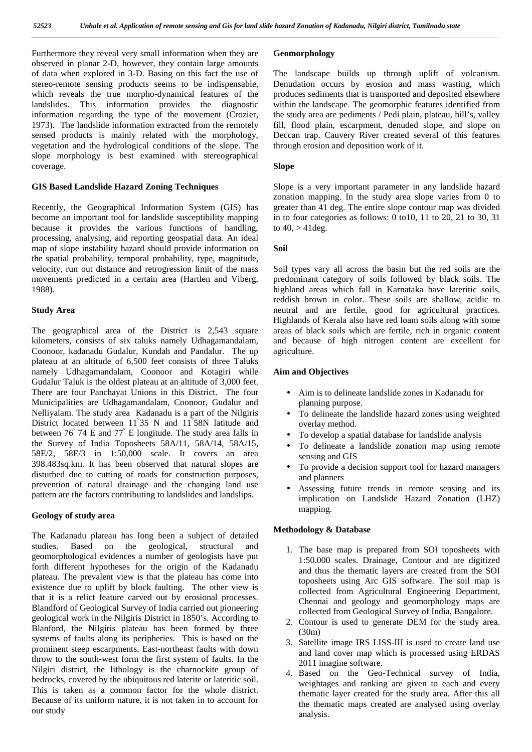Furthermore they reveal very small information when they are observed in planar 2-D, however, they contain large amounts of data when explored in 3-D. Basing on this fact the use of stereo-remote sensing products seems to be indispensable, which reveals the true morpho-dynamical features of the landslides. This information provides the diagnostic information regarding the type of the movement (Crozier, 1973). The landslide information extracted from the remotely sensed products is mainly related with the morphology, vegetation and the hydrological conditions of the slope. The slope morphology is best examined with stereographical coverage.

## **GIS Based Landslide Hazard Zoning Techniques**

Recently, the Geographical Information System (GIS) has become an important tool for landslide susceptibility mapping because it provides the various functions of handling, processing, analysing, and reporting geospatial data. An ideal map of slope instability hazard should provide information on the spatial probability, temporal probability, type, magnitude, velocity, run out distance and retrogression limit of the mass movements predicted in a certain area (Hartlen and Viberg, 1988).

#### **Study Area**

The geographical area of the District is 2,543 square kilometers, consists of six taluks namely Udhagamandalam, Coonoor, kadanadu Gudalur, Kundah and Pandalur. The up plateau at an altitude of 6,500 feet consists of three Taluks namely Udhagamandalam, Coonoor and Kotagiri while Gudalur Taluk is the oldest plateau at an altitude of 3,000 feet. There are four Panchayat Unions in this District. The four Municipalities are Udhagamandalam, Coonoor, Gudalur and Nelliyalam. The study area Kadanadu is a part of the Nilgiris District located between 11°35 N and 11°58N latitude and between 76° 74 E and 77° E longitude. The study area falls in the Survey of India Toposheets 58A/11, 58A/14, 58A/15, 58E/2, 58E/3 in 1:50,000 scale. It covers an area 398.483sq.km. It has been observed that natural slopes are disturbed due to cutting of roads for construction purposes, prevention of natural drainage and the changing land use pattern are the factors contributing to landslides and landslips.

#### **Geology of study area**

The Kadanadu plateau has long been a subject of detailed studies. Based on the geological, structural and geomorphological evidences a number of geologists have put forth different hypotheses for the origin of the Kadanadu plateau. The prevalent view is that the plateau has come into existence due to uplift by block faulting. The other view is that it is a relict feature carved out by erosional processes. Blandford of Geological Survey of India carried out pioneering geological work in the Nilgiris District in 1850's. According to Blanford, the Nilgiris plateau has been formed by three systems of faults along its peripheries. This is based on the prominent steep escarpments. East-northeast faults with down throw to the south-west form the first system of faults. In the Nilgiri district, the lithology is the charnockite group of bedrocks, covered by the ubiquitous red laterite or lateritic soil. This is taken as a common factor for the whole district. Because of its uniform nature, it is not taken in to account for our study

# **Geomorphology**

The landscape builds up through uplift of volcanism. Denudation occurs by erosion and mass wasting, which produces sediments that is transported and deposited elsewhere within the landscape. The geomorphic features identified from the study area are pediments / Pedi plain, plateau, hill's, valley fill, flood plain, escarpment, denuded slope, and slope on Deccan trap. Cauvery River created several of this features through erosion and deposition work of it.

## **Slope**

Slope is a very important parameter in any landslide hazard zonation mapping. In the study area slope varies from 0 to greater than 41 deg. The entire slope contour map was divided in to four categories as follows: 0 to10, 11 to 20, 21 to 30, 31 to  $40, > 41$  deg.

#### **Soil**

Soil types vary all across the basin but the red soils are the predominant category of soils followed by black soils. The highland areas which fall in Karnataka have lateritic soils, reddish brown in color. These soils are shallow, acidic to neutral and are fertile, good for agricultural practices. Highlands of Kerala also have red loam soils along with some areas of black soils which are fertile, rich in organic content and because of high nitrogen content are excellent for agriculture.

#### **Aim and Objectives**

- Aim is to delineate landslide zones in Kadanadu for planning purpose.
- To delineate the landslide hazard zones using weighted overlay method.
- To develop a spatial database for landslide analysis
- To delineate a landslide zonation map using remote sensing and GIS
- To provide a decision support tool for hazard managers and planners
- Assessing future trends in remote sensing and its implication on Landslide Hazard Zonation (LHZ) mapping.

#### **Methodology & Database**

- 1. The base map is prepared from SOI toposheets with 1:50.000 scales. Drainage, Contour and are digitized and thus the thematic layers are created from the SOI toposheets using Arc GIS software. The soil map is collected from Agricultural Engineering Department, Chennai and geology and geomorphology maps are collected from Geological Survey of India, Bangalore.
- 2. Contour is used to generate DEM for the study area. (30m)
- 3. Satellite image IRS LISS-III is used to create land use and land cover map which is processed using ERDAS 2011 imagine software.
- 4. Based on the Geo-Technical survey of India, weightages and ranking are given to each and every thematic layer created for the study area. After this all the thematic maps created are analysed using overlay analysis.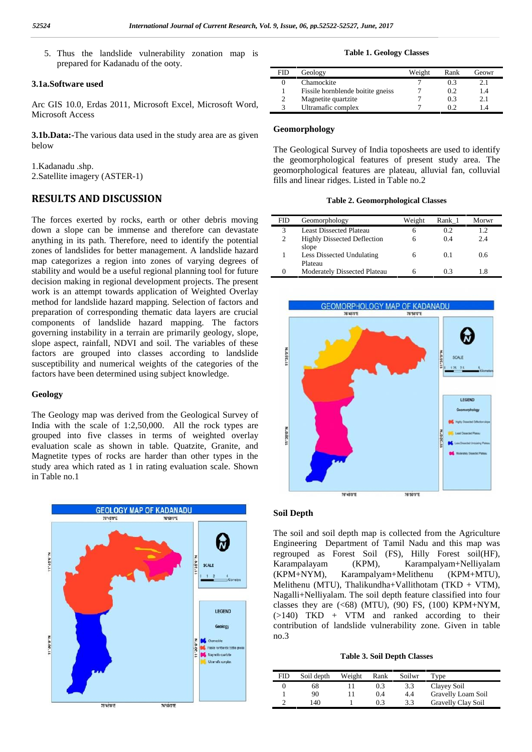5. Thus the landslide vulnerability zonation map is prepared for Kadanadu of the ooty.

#### **3.1a.Software used**

Arc GIS 10.0, Erdas 2011, Microsoft Excel, Microsoft Word, Microsoft Access

**3.1b.Data:-**The various data used in the study area are as given below

1.Kadanadu .shp. 2.Satellite imagery (ASTER-1)

# **RESULTS AND DISCUSSION**

The forces exerted by rocks, earth or other debris moving down a slope can be immense and therefore can devastate anything in its path. Therefore, need to identify the potential zones of landslides for better management. A landslide hazard map categorizes a region into zones of varying degrees of stability and would be a useful regional planning tool for future decision making in regional development projects. The present work is an attempt towards application of Weighted Overlay method for landslide hazard mapping. Selection of factors and preparation of corresponding thematic data layers are crucial components of landslide hazard mapping. The factors governing instability in a terrain are primarily geology, slope, slope aspect, rainfall, NDVI and soil. The variables of these factors are grouped into classes according to landslide susceptibility and numerical weights of the categories of the factors have been determined using subject knowledge.

## **Geology**

The Geology map was derived from the Geological Survey of India with the scale of 1:2,50,000. All the rock types are grouped into five classes in terms of weighted overlay evaluation scale as shown in table. Quatzite, Granite, and Magnetite types of rocks are harder than other types in the study area which rated as 1 in rating evaluation scale. Shown in Table no.1



#### **Table 1. Geology Classes**

| FID | Geology                           | Weight | Rank | Geowr          |
|-----|-----------------------------------|--------|------|----------------|
|     | Chamockite                        |        | 0.3  |                |
|     | Fissile hornblende boitite gneiss |        | 0.2  | l.4            |
|     | Magnetite quartzite               |        | 0.3  |                |
|     | Ultramafic complex                |        |      | $\overline{4}$ |

#### **Geomorphology**

The Geological Survey of India toposheets are used to identify the geomorphological features of present study area. The geomorphological features are plateau, alluvial fan, colluvial fills and linear ridges. Listed in Table no.2

#### **Table 2. Geomorphological Classes**

| FID               | Geomorphology                               | Weight | Rank 1 | Morwr |
|-------------------|---------------------------------------------|--------|--------|-------|
|                   | Least Dissected Plateau                     | h      | 0.2    | 1.2   |
| 2                 | <b>Highly Dissected Deflection</b><br>slope | 6      | 0.4    | 2.4   |
|                   | Less Dissected Undulating<br>Plateau        | h      | 0.1    | 0.6   |
| $\mathbf{\Omega}$ | Moderately Dissected Plateau                |        | 0.3    | -8    |



#### **Soil Depth**

The soil and soil depth map is collected from the Agriculture Engineering Department of Tamil Nadu and this map was regrouped as Forest Soil (FS), Hilly Forest soil(HF), Karampalayam (KPM), Karampalyam+Nelliyalam (KPM+NYM), Karampalyam+Melithenu (KPM+MTU), Melithenu (MTU), Thalikundha+Vallithotam (TKD + VTM), Nagalli+Nelliyalam. The soil depth feature classified into four classes they are  $( $68$ ) (MTU), (90) FS, (100) KPM+NYM,$  $(>140)$  TKD + VTM and ranked according to their contribution of landslide vulnerability zone. Given in table no.3

#### **Table 3. Soil Depth Classes**

| FID | Soil depth | Weight | Rank | Soilwr | Type               |
|-----|------------|--------|------|--------|--------------------|
|     | 68         |        | 0.3  | 3.3    | Clayey Soil        |
|     | 90         |        | 0.4  | 4.4    | Gravelly Loam Soil |
|     | 140        |        | 03   | 3.3    | Gravelly Clay Soil |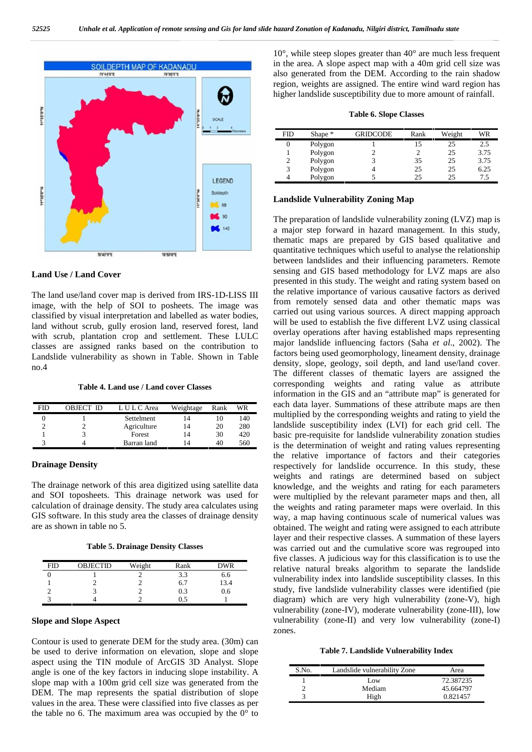

#### **Land Use / Land Cover**

The land use/land cover map is derived from IRS-1D-LISS III image, with the help of SOI to posheets. The image was classified by visual interpretation and labelled as water bodies, land without scrub, gully erosion land, reserved forest, land with scrub, plantation crop and settlement. These LULC classes are assigned ranks based on the contribution to Landslide vulnerability as shown in Table. Shown in Table no.4

# **Table 4. Land use / Land cover Classes**

| FID | OBJECT ID | L U L C Area | Weightage | Rank | WR  |
|-----|-----------|--------------|-----------|------|-----|
|     |           | Settelment   | 14        | 10   | 140 |
|     |           | Agriculture  | 14        | 20   | 280 |
|     |           | Forest       | 14        | 30   | 420 |
|     |           | Barran land  | 14        | 40   | 560 |

#### **Drainage Density**

The drainage network of this area digitized using satellite data and SOI toposheets. This drainage network was used for calculation of drainage density. The study area calculates using GIS software. In this study area the classes of drainage density are as shown in table no 5.

**Table 5. Drainage Density Classes**

| <b>FID</b> | <b>OBJECTID</b> | Weight | Rank | DWR  |
|------------|-----------------|--------|------|------|
|            |                 |        | 3.3  | 6.6  |
|            |                 |        | 6.7  | 13.4 |
|            |                 |        | 0.3  | 0.6  |
|            |                 |        |      |      |

#### **Slope and Slope Aspect**

Contour is used to generate DEM for the study area. (30m) can be used to derive information on elevation, slope and slope aspect using the TIN module of ArcGIS 3D Analyst. Slope angle is one of the key factors in inducing slope instability. A slope map with a 100m grid cell size was generated from the DEM. The map represents the spatial distribution of slope values in the area. These were classified into five classes as per the table no 6. The maximum area was occupied by the  $0^{\circ}$  to

10°, while steep slopes greater than 40° are much less frequent in the area. A slope aspect map with a 40m grid cell size was also generated from the DEM. According to the rain shadow region, weights are assigned. The entire wind ward region has higher landslide susceptibility due to more amount of rainfall.

|  |  |  | <b>Table 6. Slope Classes</b> |  |
|--|--|--|-------------------------------|--|
|--|--|--|-------------------------------|--|

| FID | Shape * | GRIDCODE | Rank | Weight | WR   |
|-----|---------|----------|------|--------|------|
|     | Polygon |          |      | 25     | 2.5  |
|     | Polygon |          |      | 25     | 3.75 |
|     | Polygon |          | 35   | 25     | 3.75 |
| 3   | Polygon |          | 25   | 25     | 6.25 |
|     | Polygon |          | 25   | 25     | 7.5  |

#### **Landslide Vulnerability Zoning Map**

The preparation of landslide vulnerability zoning (LVZ) map is a major step forward in hazard management. In this study, thematic maps are prepared by GIS based qualitative and quantitative techniques which useful to analyse the relationship between landslides and their influencing parameters. Remote sensing and GIS based methodology for LVZ maps are also presented in this study. The weight and rating system based on the relative importance of various causative factors as derived from remotely sensed data and other thematic maps was carried out using various sources. A direct mapping approach will be used to establish the five different LVZ using classical overlay operations after having established maps representing major landslide influencing factors (Saha *et al*., 2002). The factors being used geomorphology, lineament density, drainage density, slope, geology, soil depth, and land use/land cover. The different classes of thematic layers are assigned the corresponding weights and rating value as attribute information in the GIS and an "attribute map" is generated for each data layer. Summations of these attribute maps are then multiplied by the corresponding weights and rating to yield the landslide susceptibility index (LVI) for each grid cell. The basic pre-requisite for landslide vulnerability zonation studies is the determination of weight and rating values representing the relative importance of factors and their categories respectively for landslide occurrence. In this study, these weights and ratings are determined based on subject knowledge, and the weights and rating for each parameters were multiplied by the relevant parameter maps and then, all the weights and rating parameter maps were overlaid. In this way, a map having continuous scale of numerical values was obtained. The weight and rating were assigned to each attribute layer and their respective classes. A summation of these layers was carried out and the cumulative score was regrouped into five classes. A judicious way for this classification is to use the relative natural breaks algorithm to separate the landslide vulnerability index into landslide susceptibility classes. In this study, five landslide vulnerability classes were identified (pie diagram) which are very high vulnerability (zone-V), high vulnerability (zone-IV), moderate vulnerability (zone-III), low vulnerability (zone-II) and very low vulnerability (zone-I) zones.

#### **Table 7. Landslide Vulnerability Index**

| S.No. | Landslide vulnerability Zone | Area      |
|-------|------------------------------|-----------|
|       | Low                          | 72.387235 |
|       | Mediam                       | 45.664797 |
|       | High                         | 0.821457  |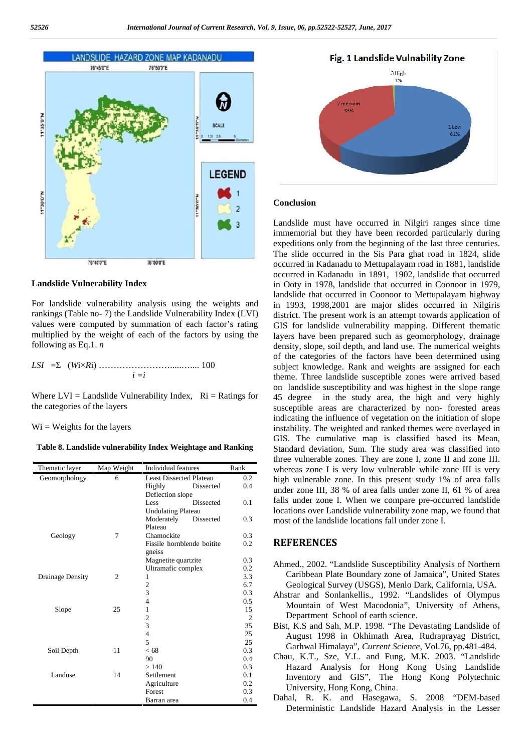

#### **Landslide Vulnerability Index**

For landslide vulnerability analysis using the weights and rankings (Table no- 7) the Landslide Vulnerability Index (LVI) values were computed by summation of each factor's rating multiplied by the weight of each of the factors by using the following as Eq.1. *n*

$$
LSI = (WixRi) \dots (WixRi) \dots (100)
$$

Where  $LVI =$  Landslide Vulnerability Index,  $Ri =$  Ratings for the categories of the layers

#### $Wi = Weights$  for the layers

**Table 8. Landslide vulnerability Index Weightage and Ranking**

| Thematic layer   | Map Weight     | <b>Individual features</b>     |                  | Rank           | W           |
|------------------|----------------|--------------------------------|------------------|----------------|-------------|
| Geomorphology    | 6              | <b>Least Dissected Plateau</b> |                  | 0.2            | h           |
|                  |                | Highly                         | Dissected        | 0.4            |             |
|                  |                |                                | Deflection slope |                | u           |
|                  |                | Less                           | <b>Dissected</b> | 0.1            | fι          |
|                  |                | <b>Undulating Plateau</b>      |                  |                | lo          |
|                  |                | Moderately                     | Dissected        | 0.3            | $\mathbf n$ |
|                  |                | Plateau                        |                  |                |             |
| Geology          | 7              | Chamockite                     |                  | 0.3            |             |
|                  |                | Fissile hornblende boitite     |                  | 0.2            | R           |
|                  |                | gneiss                         |                  |                |             |
|                  |                | Magnetite quartzite            |                  | 0.3            | Α           |
|                  |                | Ultramafic complex             |                  | 0.2            |             |
| Drainage Density | $\overline{c}$ | 1                              |                  | 3.3            |             |
|                  |                | $\overline{\mathbf{c}}$        |                  | 6.7            |             |
|                  |                | 3                              |                  | 0.3            | А           |
|                  |                | $\overline{4}$                 |                  | 0.5            |             |
| Slope            | 25             | $\mathbf{1}$                   |                  | 15             |             |
|                  |                | $\frac{2}{3}$                  |                  | $\overline{2}$ |             |
|                  |                |                                |                  | 35             | B           |
|                  |                | $\overline{\mathbf{4}}$        |                  | 25             |             |
|                  |                | 5                              |                  | 25             |             |
| Soil Depth       | 11             | < 68                           |                  | 0.3            | C           |
|                  |                | 90                             |                  | 0.4            |             |
|                  |                | >140                           |                  | 0.3            |             |
| Landuse          | 14             | Settlement                     |                  | 0.1            |             |
|                  |                | Agriculture                    |                  | 0.2            |             |
|                  |                | Forest                         |                  | 0.3            |             |
|                  |                | Barran area                    |                  | 0.4            |             |



#### **Conclusion**

0.4 under zone III, 38 % of area falls under zone II, 61 % of area 0.1 falls under zone I. When we compare pre-occurred landslide 0.3 most of the landslide locations fall under zone I. Landslide must have occurred in Nilgiri ranges since time immemorial but they have been recorded particularly during expeditions only from the beginning of the last three centuries. The slide occurred in the Sis Para ghat road in 1824, slide occurred in Kadanadu to Mettupalayam road in 1881, landslide occurred in Kadanadu in 1891, 1902, landslide that occurred in Ooty in 1978, landslide that occurred in Coonoor in 1979, landslide that occurred in Coonoor to Mettupalayam highway in 1993, 1998,2001 are major slides occurred in Nilgiris district. The present work is an attempt towards application of GIS for landslide vulnerability mapping. Different thematic layers have been prepared such as geomorphology, drainage density, slope, soil depth, and land use. The numerical weights of the categories of the factors have been determined using subject knowledge. Rank and weights are assigned for each theme. Three landslide susceptible zones were arrived based on landslide susceptibility and was highest in the slope range 45 degree in the study area, the high and very highly susceptible areas are characterized by non- forested areas indicating the influence of vegetation on the initiation of slope instability. The weighted and ranked themes were overlayed in GIS. The cumulative map is classified based its Mean, Standard deviation, Sum. The study area was classified into three vulnerable zones. They are zone I, zone II and zone III. whereas zone I is very low vulnerable while zone III is very high vulnerable zone. In this present study 1% of area falls locations over Landslide vulnerability zone map, we found that

# 0.2 **REFERENCES**

- Ahmed., 2002. "Landslide Susceptibility Analysis of Northern Caribbean Plate Boundary zone of Jamaica", United States Geological Survey (USGS), Menlo Dark, California, USA.
- Ahstrar and Sonlankellis., 1992. "Landslides of Olympus Mountain of West Macodonia", University of Athens, Department School of earth science.
- Bist, K.S and Sah, M.P. 1998. "The Devastating Landslide of August 1998 in Okhimath Area, Rudraprayag District, Garhwal Himalaya", *Current Science*, Vol.76, pp.481-484.
- Chau, K.T., Sze, Y.L. and Fung, M.K. 2003. "Landslide Hazard Analysis for Hong Kong Using Landslide Inventory and GIS", The Hong Kong Polytechnic University, Hong Kong, China.
- Dahal, R. K. and Hasegawa, S. 2008 "DEM-based Deterministic Landslide Hazard Analysis in the Lesser